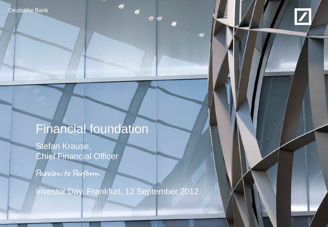Deutsche Bank



# Financial foundation

Stefan Krause, Chief Financial Officer

Passion to Perform

**OUT THE LIBERT** 

Investor Day, Frankfurt, 12 September 2012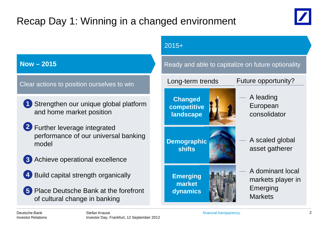## Recap Day 1: Winning in a changed environment



#### **Now – 2015**

Clear actions to position ourselves to win

- Strengthen our unique global platform and home market position **1**
- Further leverage integrated **2** performance of our universal banking model
- Achieve operational excellence **3**
- 4 Build capital strength organically

 Place Deutsche Bank at the forefront **5** of cultural change in banking

#### 2015+

Ready and able to capitalize on future optionality

Long-term trends Future opportunity?



**market** 

**dynamics**

- A leading European consolidator
- A scaled global asset gatherer
- A dominant local markets player in Emerging **Markets**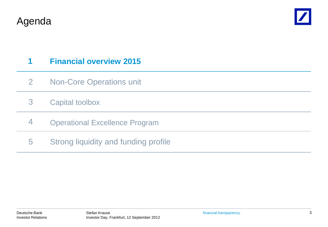



### **1 Financial overview 2015**

- Non-Core Operations unit 2
- 3 Capital toolbox
- Operational Excellence Program 4
- 5 Strong liquidity and funding profile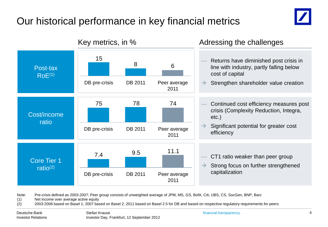### Our historical performance in key financial metrics





Note: Pre-crisis defined as 2003-2007; Peer group consists of unweighted average of JPM, MS, GS, BofA, Citi, UBS, CS, SocGen, BNP, Barc

(1) Net income over average active equity

(2) 2003-2006 based on Basel 1; 2007 based on Basel 2; 2011 based on Basel 2.5 for DB and based on respective regulatory requirements for peers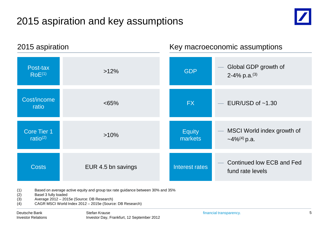### 2015 aspiration and key assumptions



| 2015 aspiration                                                                        |                    | Key macroeconomic assumptions |                                                 |  |  |  |  |
|----------------------------------------------------------------------------------------|--------------------|-------------------------------|-------------------------------------------------|--|--|--|--|
| Post-tax<br>RoE <sup>(1)</sup>                                                         | >12%               | <b>GDP</b>                    | Global GDP growth of<br>2-4% p.a. $^{(3)}$      |  |  |  |  |
| Cost/income<br>ratio                                                                   | <65%               | <b>FX</b>                     | EUR/USD of $~1.30$                              |  |  |  |  |
| <b>Core Tier 1</b><br>$\overline{\mathsf{ratio}^{(2)}}$                                | $>10\%$            | <b>Equity</b><br>markets      | MSCI World index growth of<br>$-4\%^{(4)}$ p.a. |  |  |  |  |
| <b>Costs</b>                                                                           | EUR 4.5 bn savings | Interest rates                | Continued low ECB and Fed<br>fund rate levels   |  |  |  |  |
| (4)<br>Road on overage active equity and group tex rate quidence between 200/ and 250/ |                    |                               |                                                 |  |  |  |  |

(1) Based on average active equity and group tax rate guidance between 30% and 35%

- (2) Basel 3 fully loaded
- (3) Average 2012 2015e (Source: DB Research)
- (4) CAGR MSCI World Index 2012 2015e (Source: DB Research)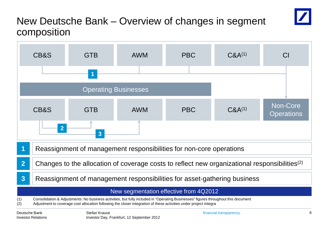### New Deutsche Bank – Overview of changes in segment composition

Investor Day, Frankfurt, 12 September 2012

Investor Relations

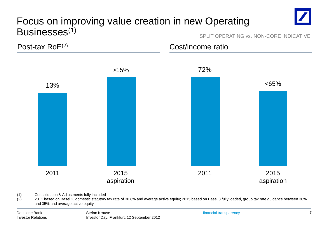### Focus on improving value creation in new Operating Businesses(1)



SPLIT OPERATING vs. NON-CORE INDICATIVE



(1) Consolidation & Adjustments fully included

(2) 2011 based on Basel 2, domestic statutory tax rate of 30.8% and average active equity; 2015 based on Basel 3 fully loaded, group tax rate guidance between 30% and 35% and average active equity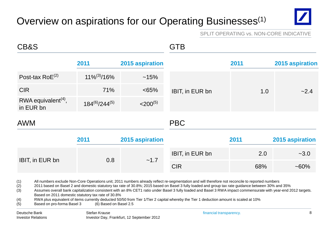### Overview on aspirations for our Operating Businesses<sup>(1)</sup>



SPLIT OPERATING vs. NON-CORE INDICATIVE

| CB&S                                         |                                                    |                        | GTB                                                                                                                                                                                                                                                                                                                                                                                                                                                                                                                                                                                                               |      |                 |
|----------------------------------------------|----------------------------------------------------|------------------------|-------------------------------------------------------------------------------------------------------------------------------------------------------------------------------------------------------------------------------------------------------------------------------------------------------------------------------------------------------------------------------------------------------------------------------------------------------------------------------------------------------------------------------------------------------------------------------------------------------------------|------|-----------------|
|                                              | 2011                                               | <b>2015 aspiration</b> |                                                                                                                                                                                                                                                                                                                                                                                                                                                                                                                                                                                                                   | 2011 | 2015 aspiration |
| Post-tax $RoE^{(2)}$                         | $11\%^{(3)}/16\%$                                  | ~15%                   |                                                                                                                                                                                                                                                                                                                                                                                                                                                                                                                                                                                                                   |      |                 |
| <b>CIR</b>                                   | 71%                                                | <65%                   | IBIT, in EUR bn                                                                                                                                                                                                                                                                                                                                                                                                                                                                                                                                                                                                   | 1.0  | $-2.4$          |
| RWA equivalent <sup>(4)</sup> ,<br>in EUR bn | $184^{(6)}/244^{(5)}$                              | $<$ 200 <sup>(5)</sup> |                                                                                                                                                                                                                                                                                                                                                                                                                                                                                                                                                                                                                   |      |                 |
| <b>AWM</b>                                   |                                                    |                        | <b>PBC</b>                                                                                                                                                                                                                                                                                                                                                                                                                                                                                                                                                                                                        |      |                 |
|                                              | 2011                                               | 2015 aspiration        |                                                                                                                                                                                                                                                                                                                                                                                                                                                                                                                                                                                                                   | 2011 | 2015 aspiration |
|                                              |                                                    |                        | IBIT, in EUR bn                                                                                                                                                                                                                                                                                                                                                                                                                                                                                                                                                                                                   | 2.0  | $-3.0$          |
| IBIT, in EUR bn                              | 0.8                                                | ~1.7                   | <b>CIR</b>                                                                                                                                                                                                                                                                                                                                                                                                                                                                                                                                                                                                        | 68%  | $~160\%$        |
| (1)<br>(2)<br>(3)<br>(4)                     | Based on 2011 domestic statutory tax rate of 30.8% |                        | All numbers exclude Non-Core Operations unit; 2011 numbers already reflect re-segmentation and will therefore not reconcile to reported numbers<br>2011 based on Basel 2 and domestic statutory tax rate of 30.8%; 2015 based on Basel 3 fully loaded and group tax rate guidance between 30% and 35%<br>Assumes overall bank capitalization consistent with an 8% CET1 ratio under Basel 3 fully loaded and Basel 3 RWA impact commensurate with year-end 2012 targets.<br>RWA plus equivalent of items currently deducted 50/50 from Tier 1/Tier 2 capital whereby the Tier 1 deduction amount is scaled at 10% |      |                 |

(5) Based on pro-forma Basel 3 (6) Based on Basel 2.5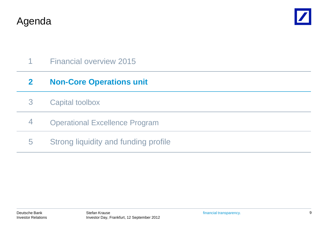Agenda



### 1 Financial overview 2015

#### **Non-Core Operations unit 2**

- 3 Capital toolbox
- Operational Excellence Program 4
- 5 Strong liquidity and funding profile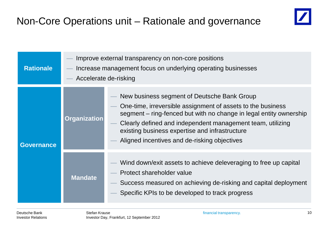

| <b>Rationale</b>  | Improve external transparency on non-core positions<br>Increase management focus on underlying operating businesses<br>Accelerate de-risking |                                                                                                                                                                                                                                                                                                                                                  |  |  |  |
|-------------------|----------------------------------------------------------------------------------------------------------------------------------------------|--------------------------------------------------------------------------------------------------------------------------------------------------------------------------------------------------------------------------------------------------------------------------------------------------------------------------------------------------|--|--|--|
| <b>Governance</b> | <b>Organization</b>                                                                                                                          | New business segment of Deutsche Bank Group<br>One-time, irreversible assignment of assets to the business<br>segment – ring-fenced but with no change in legal entity ownership<br>Clearly defined and independent management team, utilizing<br>existing business expertise and infrastructure<br>Aligned incentives and de-risking objectives |  |  |  |
|                   | <b>Mandate</b>                                                                                                                               | Wind down/exit assets to achieve deleveraging to free up capital<br>Protect shareholder value<br>Success measured on achieving de-risking and capital deployment<br>Specific KPIs to be developed to track progress                                                                                                                              |  |  |  |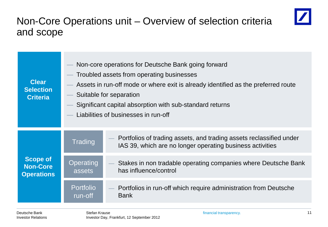### Non-Core Operations unit – Overview of selection criteria and scope



| <b>Clear</b><br><b>Selection</b><br><b>Criteria</b>     | Non-core operations for Deutsche Bank going forward<br>Troubled assets from operating businesses<br>Assets in run-off mode or where exit is already identified as the preferred route<br>Suitable for separation<br>Significant capital absorption with sub-standard returns<br>Liabilities of businesses in run-off |                                                                                                                                  |  |  |  |
|---------------------------------------------------------|----------------------------------------------------------------------------------------------------------------------------------------------------------------------------------------------------------------------------------------------------------------------------------------------------------------------|----------------------------------------------------------------------------------------------------------------------------------|--|--|--|
| <b>Scope of</b><br><b>Non-Core</b><br><b>Operations</b> | Trading                                                                                                                                                                                                                                                                                                              | Portfolios of trading assets, and trading assets reclassified under<br>IAS 39, which are no longer operating business activities |  |  |  |
|                                                         | <b>Operating</b><br>assets                                                                                                                                                                                                                                                                                           | Stakes in non tradable operating companies where Deutsche Bank<br>has influence/control                                          |  |  |  |
|                                                         | <b>Portfolio</b><br>run-off                                                                                                                                                                                                                                                                                          | Portfolios in run-off which require administration from Deutsche<br><b>Bank</b>                                                  |  |  |  |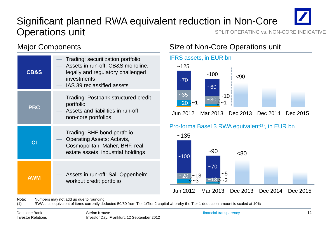#### Significant planned RWA equivalent reduction in Non-Core Operations unit SPLIT OPERATING vs. NON-CORE INDICATIVE

| <b>CB&amp;S</b> | Trading: securitization portfolio<br>Assets in run-off: CB&S monoline,<br>legally and regulatory challenged<br>investments<br>IAS 39 reclassified assets |
|-----------------|----------------------------------------------------------------------------------------------------------------------------------------------------------|
| <b>PBC</b>      | <b>Trading: Postbank structured credit</b><br>portfolio<br>Assets and liabilities in run-off:<br>non-core portfolios                                     |
| C.              | Trading: BHF bond portfolio<br><b>Operating Assets: Actavis,</b><br>Cosmopolitan, Maher, BHF, real<br>estate assets, industrial holdings                 |
| <b>AWM</b>      | Assets in run-off: Sal. Oppenheim<br>workout credit portfolio                                                                                            |

### Major Components **Size of Non-Core Operations unit**



Mar 2013 Jun 2012 Dec 2013 Dec 2014 Dec 2015

#### Pro-forma Basel 3 RWA equivalent<sup>(1)</sup>, in EUR bn



Note: Numbers may not add up due to rounding

(1) RWA plus equivalent of items currently deducted 50/50 from Tier 1/Tier 2 capital whereby the Tier 1 deduction amount is scaled at 10%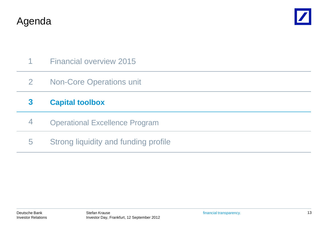



- 1 Financial overview 2015
- Non-Core Operations unit 2

#### **3 Capital toolbox**

- Operational Excellence Program 4
- 5 Strong liquidity and funding profile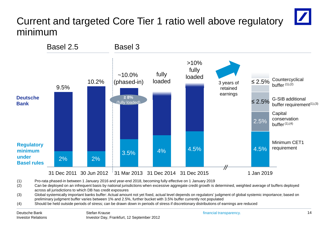#### $\blacktriangleright$ Current and targeted Core Tier 1 ratio well above regulatory minimum



<sup>(1)</sup> Pro-rata phased-in between 1 January 2016 and year-end 2018, becoming fully effective on 1 January 2019

(4) Should be held outside periods of stress; can be drawn down in periods of stress if discretionary distributions of earnings are reduced

<sup>(2)</sup> Can be deployed on an infrequent basis by national jurisdictions when excessive aggregate credit growth is determined, weighted average of buffers deployed across all jurisdictions to which DB has credit exposures

<sup>(3)</sup> Global systemically important banks buffer: Actual amount not yet fixed, actual level depends on regulators' judgment of global systemic importance; based on preliminary judgment buffer varies between 1% and 2.5%, further bucket with 3.5% buffer currently not populated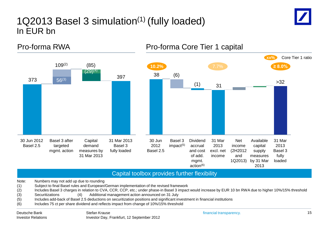### 1Q2013 Basel 3 simulation $(1)$  (fully loaded) In EUR bn



Pro-forma RWA Pro-forma Core Tier 1 capital



#### Capital toolbox provides further flexibility

Note: Numbers may not add up due to rounding

- (1) Subject to final Basel rules and European/German implementation of the revised framework
- (2) Includes Basel 3 charges in relation to CVA, CCR, CCP, etc.; under phase-in Basel 3 impact would increase by EUR 10 bn RWA due to higher 10%/15% threshold
- (3) Securitizations (4) Additional management action announced on 31 July
- (5) Includes add-back of Basel 2.5 deductions on securitization positions and significant investment in financial institutions
- (6) Includes 75 ct per share dividend and reflects impact from change of 10%/15% threshold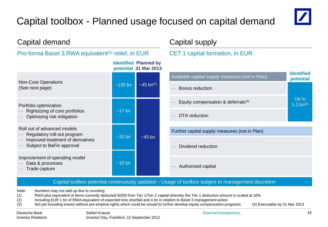### Capital toolbox - Planned usage focused on capital demand



| Capital demand                                                 |           |                                 | Capital supply                                                                                     |                                |  |
|----------------------------------------------------------------|-----------|---------------------------------|----------------------------------------------------------------------------------------------------|--------------------------------|--|
| Pro-forma Basel 3 RWA equivalent <sup>(1)</sup> relief, in EUR |           | CET 1 capital formation, in EUR |                                                                                                    |                                |  |
| <b>Identified Planned by</b><br>potential 31 Mar 2013          |           |                                 |                                                                                                    |                                |  |
|                                                                |           | ~45 bn <sup>(2)</sup>           | Available capital supply measures (not in Plan)                                                    | <b>Identified</b><br>potential |  |
| <b>Non-Core Operations</b><br>(See next page)                  | $~135$ bn |                                 | Bonus reduction                                                                                    |                                |  |
| Portfolio optimization                                         | $~17$ bn  |                                 | Equity compensation & deferrals <sup>(3)</sup>                                                     | Up to<br>1.2 $bn^{(4)}$        |  |
| Rightsizing of core portfolios<br>Optimizing risk mitigation   |           |                                 | <b>DTA</b> reduction                                                                               |                                |  |
| Roll out of advanced models<br>Regulatory roll-out program     | $-31$ bn  |                                 | Further capital supply measures (not in Plan)                                                      |                                |  |
| Improved treatment of derivatives<br>Subject to BaFin approval |           | $-45$ bn                        | Dividend reduction                                                                                 |                                |  |
| Improvement of operating model                                 | $~15$ bn  |                                 |                                                                                                    |                                |  |
| Data & processes<br>Trade capture                              |           |                                 | Authorized capital                                                                                 |                                |  |
|                                                                |           |                                 | Capital toolbox potential continuously updated - Usage of toolbox subject to management discretion |                                |  |
| Numbers may not add up due to rounding<br>Note:                |           |                                 |                                                                                                    |                                |  |

- (1) RWA plus equivalent of items currently deducted 50/50 from Tier 1/Tier 2 capital whereby the Tier 1 deduction amount is scaled at 10%
- (2) Including EUR 1 bn of RWA equivalent of expected loss shortfall and 4 bn in relation to Basel 3 management action<br>(3) Not yet including shares without pre-emptive rights which could be issued to further develop equity
- (3) Not yet including shares without pre-emptive rights which could be issued to further develop equity compensation programs (4) Executable by 31 Mar 2013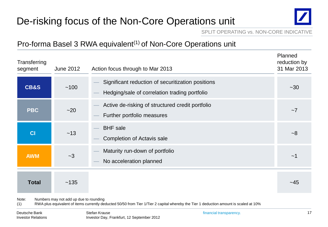## De-risking focus of the Non-Core Operations unit



SPLIT OPERATING vs. NON-CORE INDICATIVE

#### Pro-forma Basel 3 RWA equivalent<sup>(1)</sup> of Non-Core Operations unit

| Transferring<br>segment                    | <b>June 2012</b>                       | Action focus through to Mar 2013                                                                                                      | Planned<br>reduction by<br>31 Mar 2013 |
|--------------------------------------------|----------------------------------------|---------------------------------------------------------------------------------------------------------------------------------------|----------------------------------------|
| <b>CB&amp;S</b>                            | ~100                                   | Significant reduction of securitization positions<br>Hedging/sale of correlation trading portfolio                                    | $~1$ - 30                              |
| <b>PBC</b>                                 | $-20$                                  | Active de-risking of structured credit portfolio<br>Further portfolio measures                                                        | ~1                                     |
| CI                                         | ~13                                    | <b>BHF</b> sale<br><b>Completion of Actavis sale</b>                                                                                  | $-8$                                   |
| <b>AWM</b>                                 | $-3$                                   | Maturity run-down of portfolio<br>No acceleration planned                                                                             | ~1                                     |
| <b>Total</b>                               | ~135                                   |                                                                                                                                       | ~145                                   |
| Note:<br>(1)                               | Numbers may not add up due to rounding | RWA plus equivalent of items currently deducted 50/50 from Tier 1/Tier 2 capital whereby the Tier 1 deduction amount is scaled at 10% |                                        |
| Deutsche Bank<br><b>Investor Relations</b> |                                        | Stefan Krause<br>financial transparency.<br>Investor Day, Frankfurt, 12 September 2012                                                | 17                                     |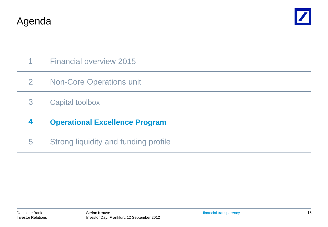



- 1 Financial overview 2015
- Non-Core Operations unit 2
- 3 Capital toolbox

**Operational Excellence Program 4**

5 Strong liquidity and funding profile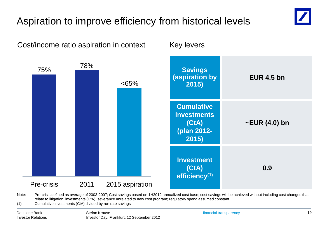### Aspiration to improve efficiency from historical levels





Note: Pre-crisis defined as average of 2003-2007; Cost savings based on 1H2012 annualized cost base; cost savings will be achieved without including cost changes that relate to litigation, investments (CtA), severance unrelated to new cost program; regulatory spend assumed constant

(1) Cumulative investments (CtA) divided by run rate savings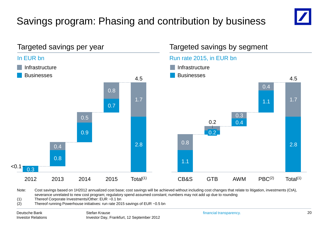## Savings program: Phasing and contribution by business





Note: Cost savings based on 1H2012 annualized cost base; cost savings will be achieved without including cost changes that relate to litigation, investments (CtA), severance unrelated to new cost program; regulatory spend assumed constant; numbers may not add up due to rounding

(1) Thereof Corporate Investments/Other: EUR ~0.1 bn

(2) Thereof running Powerhouse initiatives: run rate 2015 savings of EUR ~0.5 bn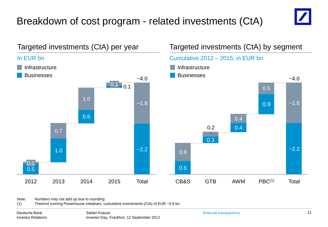## Breakdown of cost program - related investments (CtA)





Note: Numbers may not add up due to rounding

(1) Thererof running Powerhouse initiatives: cumulative investments (CtA) of EUR ~0.8 bn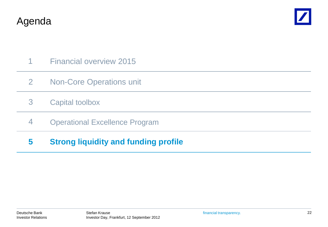



- 1 Financial overview 2015
- Non-Core Operations unit 2
- 3 Capital toolbox
- Operational Excellence Program 4

### **5 Strong liquidity and funding profile**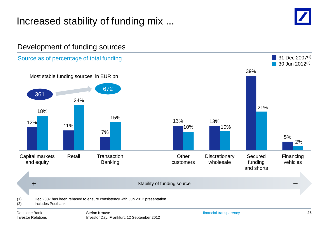### Increased stability of funding mix ...



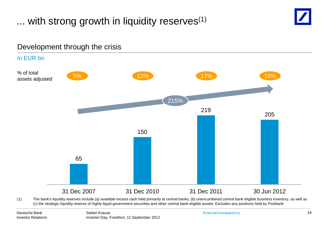## $\ldots$  with strong growth in liquidity reserves<sup>(1)</sup>



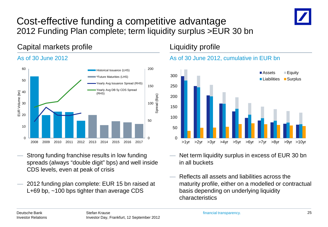### Cost-effective funding a competitive advantage 2012 Funding Plan complete; term liquidity surplus >EUR 30 bn



#### Capital markets profile

#### As of 30 June 2012



- Strong funding franchise results in low funding spreads (always "double digit" bps) and well inside CDS levels, even at peak of crisis
- 2012 funding plan complete: EUR 15 bn raised at L+69 bp, ~100 bps tighter than average CDS

### Liquidity profile

#### As of 30 June 2012, cumulative in EUR bn



- Net term liquidity surplus in excess of EUR 30 bn in all buckets
- Reflects all assets and liabilities across the maturity profile, either on a modelled or contractual basis depending on underlying liquidity characteristics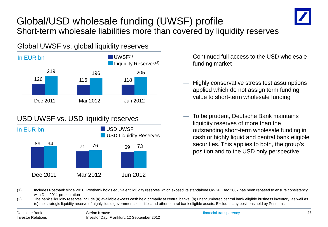

### Global/USD wholesale funding (UWSF) profile Short-term wholesale liabilities more than covered by liquidity reserves

#### Global UWSF vs. global liquidity reserves



#### USD UWSF vs. USD liquidity reserves



- Continued full access to the USD wholesale funding market
- Highly conservative stress test assumptions applied which do not assign term funding value to short-term wholesale funding
- To be prudent, Deutsche Bank maintains liquidity reserves of more than the outstanding short-term wholesale funding in cash or highly liquid and central bank eligible securities. This applies to both, the group's position and to the USD only perspective

(1) Includes Postbank since 2010, Postbank holds equivalent liquidity reserves which exceed its standalone UWSF; Dec 2007 has been rebased to ensure consistency with Dec 2011 presentation

(2) The bank's liquidity reserves include (a) available excess cash held primarily at central banks, (b) unencumbered central bank eligible business inventory, as well as (c) the strategic liquidity reserve of highly liquid government securities and other central bank eligible assets. Excludes any positions held by Postbank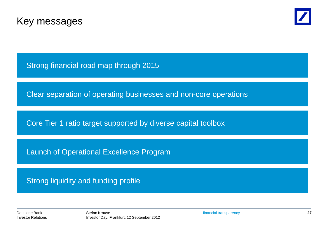



Strong financial road map through 2015

Clear separation of operating businesses and non-core operations

Core Tier 1 ratio target supported by diverse capital toolbox

Launch of Operational Excellence Program

Strong liquidity and funding profile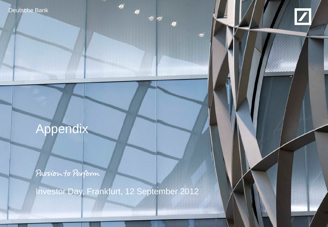



# Appendix

**Maria Albania Albania** 

Passion to Perform

Investor Day, Frankfurt, 12 September 2012

 $\frac{1}{2}$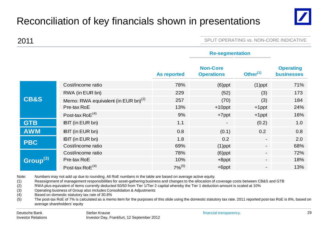### Reconciliation of key financials shown in presentations



2011 **2011** SPLIT OPERATING vs. NON-CORE INDICATIVE

**Re-segmentation**

|                      |                                                 | <b>Re-segmentation</b> |                                      |                          |                                       |
|----------------------|-------------------------------------------------|------------------------|--------------------------------------|--------------------------|---------------------------------------|
|                      |                                                 | <b>As reported</b>     | <b>Non-Core</b><br><b>Operations</b> | Other $(1)$              | <b>Operating</b><br><b>businesses</b> |
|                      | Cost/income ratio                               | 78%                    | $(6)$ ppt                            | $(1)$ ppt                | 71%                                   |
|                      | RWA (in EUR bn)                                 | 229                    | (52)                                 | (3)                      | 173                                   |
| <b>CB&amp;S</b>      | Memo: RWA equivalent (in EUR bn) <sup>(2)</sup> | 257                    | (70)                                 | (3)                      | 184                                   |
|                      | Pre-tax RoE                                     | 13%                    | $+10$ ppt                            | $+1$ ppt                 | 24%                                   |
|                      | Post-tax Ro $E^{(4)}$                           | 9%                     | $+7$ ppt                             | $+1$ ppt                 | 16%                                   |
| <b>GTB</b>           | IBIT (in EUR bn)                                | 1.1                    | $\overline{\phantom{a}}$             | (0.2)                    | 1.0                                   |
| <b>AWM</b>           | IBIT (in EUR bn)                                | 0.8                    | (0.1)                                | 0.2                      | 0.8                                   |
| <b>PBC</b>           | IBIT (in EUR bn)                                | 1.8                    | 0.2                                  | $\sim$                   | 2.0                                   |
|                      | Cost/income ratio                               | 69%                    | $(1)$ ppt                            | $\blacksquare$           | 68%                                   |
| Group <sup>(3)</sup> | Cost/income ratio                               | 78%                    | $(6)$ ppt                            | $\overline{\phantom{a}}$ | 72%                                   |
|                      | Pre-tax RoE                                     | 10%                    | $+8$ ppt                             | $\overline{\phantom{a}}$ | 18%                                   |
|                      | Post-tax Ro $E^{(4)}$                           | $7%^{(5)}$             | $+6$ ppt                             | $\blacksquare$           | 13%                                   |

Note: Numbers may not add up due to rounding. All RoE numbers in the table are based on average active equity.

(1) Reassignment of management responsibilities for asset-gathering business and changes to the allocation of coverage costs between CB&S and GTB

(2) RWA plus equivalent of items currently deducted 50/50 from Tier 1/Tier 2 capital whereby the Tier 1 deduction amount is scaled at 10%

(3) Operating business of Group also includes Consolidation & Adjustments

(4) Based on domestic statutory tax rate of 30.8%

(5) The post-tax RoE of 7% is calculated as a memo item for the purposes of this slide using the domestic statutory tax rate. 2011 reported post-tax RoE is 8%, based on average shareholders' equity